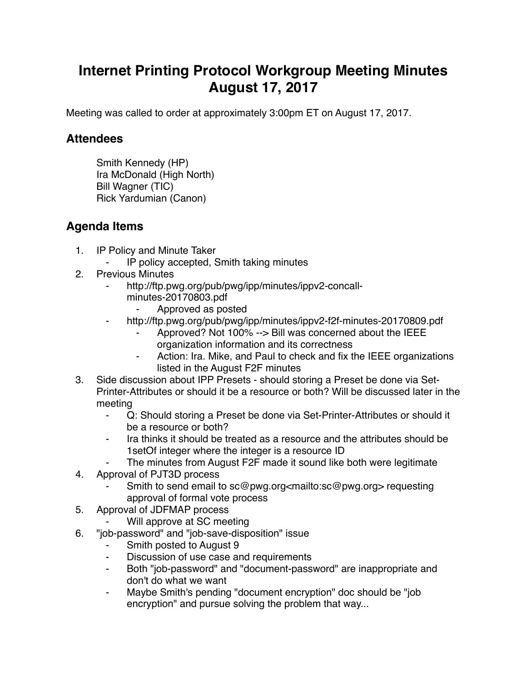## **Internet Printing Protocol Workgroup Meeting Minutes August 17, 2017**

Meeting was called to order at approximately 3:00pm ET on August 17, 2017.

## **Attendees**

Smith Kennedy (HP) Ira McDonald (High North) Bill Wagner (TIC) Rick Yardumian (Canon)

## **Agenda Items**

- 1. IP Policy and Minute Taker
	- IP policy accepted, Smith taking minutes
- 2. Previous Minutes
	- http://ftp.pwg.org/pub/pwg/ipp/minutes/ippv2-concallminutes-20170803.pdf
		- ⁃ Approved as posted
	- http://ftp.pwg.org/pub/pwg/ipp/minutes/ippv2-f2f-minutes-20170809.pdf
		- Approved? Not 100% --> Bill was concerned about the IEEE organization information and its correctness
		- ⁃ Action: Ira. Mike, and Paul to check and fix the IEEE organizations listed in the August F2F minutes
- 3. Side discussion about IPP Presets should storing a Preset be done via Set-Printer-Attributes or should it be a resource or both? Will be discussed later in the meeting
	- ⁃ Q: Should storing a Preset be done via Set-Printer-Attributes or should it be a resource or both?
	- Ira thinks it should be treated as a resource and the attributes should be 1setOf integer where the integer is a resource ID
	- The minutes from August F2F made it sound like both were legitimate
- 4. Approval of PJT3D process
	- Smith to send email to sc@pwg.org<mailto:sc@pwg.org> requesting approval of formal vote process
- 5. Approval of JDFMAP process
	- Will approve at SC meeting
- 6. "job-password" and "job-save-disposition" issue
	- Smith posted to August 9
	- Discussion of use case and requirements
	- ⁃ Both "job-password" and "document-password" are inappropriate and don't do what we want
	- ⁃ Maybe Smith's pending "document encryption" doc should be "job encryption" and pursue solving the problem that way...